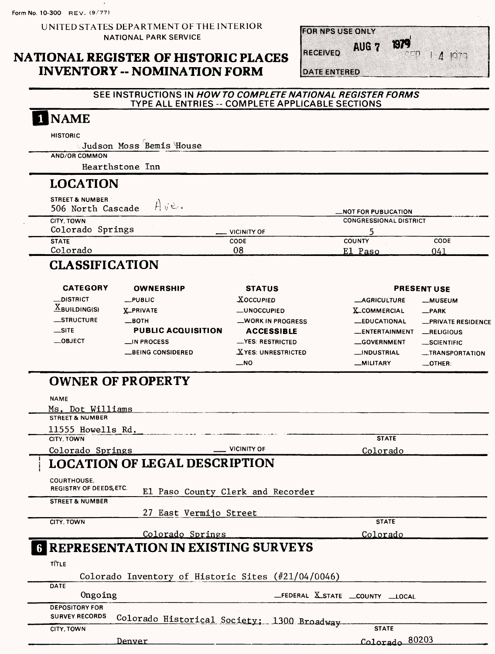Form No. 10-300 REV. (9/77)

UNITED STATES DEPARTMENT OF THE INTERIOR NATIONAL PARK SERVICE

## **NATIONAL REGISTER OF HISTORIC PLACES INVENTORY -- NOMINATION FORM**

**ROR NES USE ONLY** 

Alle V



**DATE ENTERED** 

**RECEIVED** 

### SEE INSTRUCTIONS IN HOW TO COMPLETE NATIONAL REGISTER FORMS TYPE ALL ENTRIES -- COMPLETE APPLICABLE SECTIONS

### INAME **HISTORIC** Judson Moss Bemis House AND/OR COMMON Hearthstone Inn LOCATION **STREET & NUMBER**<br>506 North Cascade  $A \times B$ **506 North Cascade —NOT FOR PUBLICATION CITY. TOWN CONGRESSIONAL DISTRICT Colorado Springs \_\_ VICINITY OF 5 COUNTY CODE STATE CODE Colorado 08 El Paso 041** CLASSIFICATION **CATEGORY PRESENT USE OWNERSHIP STATUS** —DISTRICT —PUBLIC **XOCCUPIED** —AGRICULTURE —MUSEUM  $\underline{X}$ BUILDING(S) X-PRIVATE —UNOCCUPIED X-COMMERCIAL —PARK —STRUCTURE —BOTH —WORK IN PROGRESS —EDUCATIONAL —PRIVATE RESIDENCE —SITE **PUBLIC ACQUISITION ACCESSIBLE** —ENTERTAINMENT —RELIGIOUS —OBJECT \_IN PROCESS —YES: RESTRICTED —GOVERNMENT —SCIENTIFIC —BEING CONSIDERED —XYES: UNRESTRICTED —INDUSTRIAL —TRANSPORTATION —NO —MILITARY —OTHER: OWNER OF PROPERTY NAME Ms. Dot Williams STREET & NUMBER 11555 Howells Rd. CITY. TOWN **STATE** Colorado Springs — VICINITY OF Colorado LOCATION OF LEGAL DESCRIPTION COURTHOUSE. REGISTRY OF DEEDS, ETC. E1 Paso County Clerk and Recorder STREET & NUMBER 27 East Vermijo Street CITY, TOWN **STATE** Colorado Springs Colorado I REPRESENTATION IN EXISTING SURVEYS TITLE Colorado Inventory of Historic Sites (#21/04/0046) **DATE** Ongoing **EXECUTE — COUNTY — COUNTY —LOCAL** DEPOSITORY FOR SURVEY RECORDS Colorado Historical Society; 1300 Broadway

CITY. TOWN

Denver

**!r>1r>ya^ 80203**

**STATE**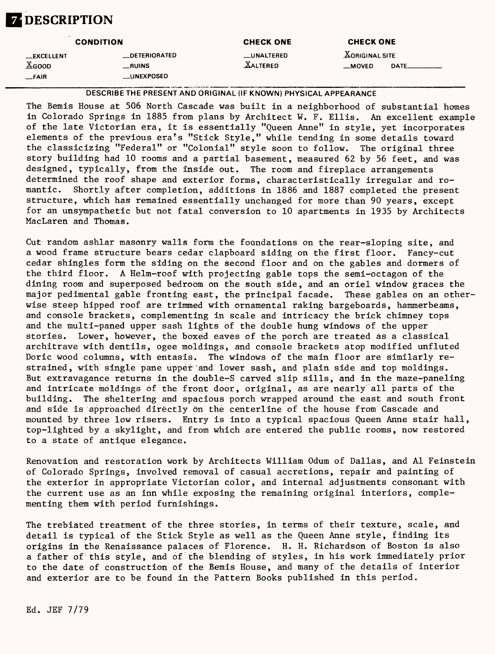# **ZDESCRIPTION**

| <b>CONDITION</b>                                                 |                                                      | <b>CHECK ONE</b>              | <b>CHECK ONE</b>                         |  |
|------------------------------------------------------------------|------------------------------------------------------|-------------------------------|------------------------------------------|--|
| <b>__EXCELLENT</b><br>$\underline{\text{X}}$ GOOD<br><b>FAIR</b> | <b>DETERIORATED</b><br>$\equiv$ RUINS<br>__UNEXPOSED | _UNALTERED<br><b>XALTERED</b> | <b>XORIGINAL SITE</b><br>DATE<br>__MOVED |  |

DESCRIBE THE PRESENT AND ORIGINAL (IF KNOWN) PHYSICAL APPEARANCE

The Bemis House at 506 North Cascade was built in a neighborhood of substantial homes in Colorado Springs in 1885 from plans by Architect W. F. Ellis. An excellent example of the late Victorian era, it is essentially "Queen Anne" in style, yet incorporates elements of the previous era^s "Stick Style," while tending in some details toward the classicizing "Federal" or "Colonial" style soon to follow. The original three story building had 10 rooms and a partial basement, measured 62 by 56 feet, and was designed, typically, from the inside out. The room and fireplace arrangements determined the roof shape and exterior forms, characteristically irregular and romantic. Shortly after completion, additions in 1886 and 1887 completed the present structure, which has remained essentially unchanged for more than 90 years, except for an unsympathetic but not fatal conversion to 10 apartments in 1935 by Architects MacLaren and Thomas.

Cut random ashlar masonry walls form the foundations on the rear-sloping site, and a wood frame structure bears cedar clapboard siding on the first floor. Fancy-cut cedar shingles form the siding on the second floor and on the gables and dormers of the third floor. A Helm-roof with projecting gable tops the semi-octagon of the dining room and superposed bedroom on the south side, and an oriel window graces the major pedimental gable fronting east, the principal facade. These gables on an otherwise steep hipped roof are trimmed with ornamental raking bargeboards, hammerbeams, and console brackets, complementing in scale and intricacy the brick chimney tops and the multi-paned upper sash lights of the double hung windows of the upper stories. Lower, however, the boxed eaves of the porch are treated as a classical architrave with dentils, ogee moldings, and console brackets atop modified unfluted Doric wood columns, with entasis. The windows of the main floor are similarly restrained, with single pane upper and lower sash, and plain side and top moldings. But extravagance returns in the double-S carved slip sills, and in the maze-paneling and intricate moldings of the front door, original, as are nearly all parts of the building. The sheltering and spacious porch wrapped around the east and south front and side is approached directly 6n the centerline of the house from Cascade and mounted by three low risers. Entry is into a typical spacious Queen Anne stair hall, top-lighted by a skylight, and from which are entered the public rooms, now restored to a state of antique elegance.

Renovation and restoration work by Architects William Odum of Dallas, and Al Feinstein of Colorado Springs, involved removal of casual accretions, repair and painting of the exterior in appropriate Victorian color, and internal adjustments consonant with the current use as an inn while exposing the remaining original interiors, complementing them with period furnishings.

The trebiated treatment of the three stories, in terms of their texture, scale, and detail is typical of the Stick Style as well as the Queen Anne style, finding its origins in the Renaissance palaces of Florence. H. H. Richardson of Boston is also a father of this style, and of the blending of styles, in his work immediately prior to the date of construction of the Bemis House, and many of the details of interior and exterior are to be found in the Pattern Books published in this period.

Ed. JEF 7/79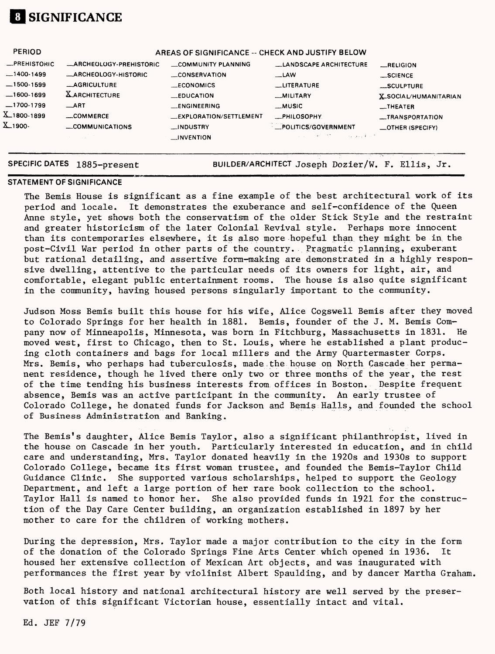

| <b>PERIOD</b>     | AREAS OF SIGNIFICANCE -- CHECK AND JUSTIFY BELOW |                               |                               |                                  |  |
|-------------------|--------------------------------------------------|-------------------------------|-------------------------------|----------------------------------|--|
| -PREHISTORIC      | -ARCHEOLOGY-PREHISTORIC                          | COMMUNITY PLANNING            | <b>LANDSCAPE ARCHITECTURE</b> | RELIGION                         |  |
| $-1400-1499$      | <b>ARCHEOLOGY-HISTORIC</b>                       | CONSERVATION                  | $-LAW$                        | $\_$ SCIENCE                     |  |
| $-1500-1599$      | <b>_AGRICULTURE</b>                              | $\_ECONOMICS$                 | <b>LITERATURE</b>             | SCULPTURE                        |  |
| $-1600-1699$      | <b>XARCHITECTURE</b>                             | $\equiv$ EDUCATION            | <b>MILITARY</b>               | <b>X_SOCIAL/HUMANITARIAN</b>     |  |
| $-1700-1799$      | $\_$ ART                                         | <b>LENGINEERING</b>           | <b>MUSIC</b>                  | $\overline{\phantom{a}}$ THEATER |  |
| $X_{-1}$ 800-1899 | COMMERCE                                         | <b>EXPLORATION/SETTLEMENT</b> | <b>_PHILOSOPHY</b>            | <i>_TRANSPORTATION</i>           |  |
| X_1900-           | COMMUNICATIONS                                   | __INDUSTRY                    | POLITICS/GOVERNMENT           | $\equiv$ OTHER (SPECIFY)         |  |
|                   |                                                  | $\Box$ INVENTION              | on any kind<br>Service Mar    |                                  |  |
|                   |                                                  |                               |                               |                                  |  |

**SPECIFIC DATES 1885-present** BUILDER/ARCHITECT Joseph Dozier/W. F. Ellis, Jr

### **STATEMENT OF SIGNIFICANCE**

The Bemis House is significant as a fine example of the best architectural work of its period and locale. It demonstrates the exuberance and self-confidence of the Queen Anne style, yet shows both the conservatism of the older Stick Style and the restraint and greater historicism of the later Colonial Revival style. Perhaps more innocent than its contemporaries elsewhere, it is also more hopeful than they might be in the post-Civil War period in other parts of the country. Pragmatic planning, exuberant but rational detailing, and assertive form-making are demonstrated in a highly responsive dwelling, attentive to the particular needs of its owners for light, air, and comfortable, elegant public entertainment rooms. The house is also quite significant in the community, having housed persons singularly important to the community.

Judson Moss Bemis built this house for his wife, Alice Cogswell Bemis after they moved to Colorado Springs for her health in 1881. Bemis, founder of the J. M. Bemis Company now of Minneapolis, Minnesota, was born in Fitchburg, Massachusetts in 1831. He moved west, first to Chicago, then to St. Louis, where he established a plant producing cloth containers and bags for local millers and the Army Quartermaster Corps. Mrs. Bemis, who perhaps had tuberculosis, made the house on North Cascade her permanent residence, though he lived there only two or three months of the year, the rest of the time tending his business interests from offices in Boston. Despite frequent absence, Bemis was an active participant in the community. An early trustee of Colorado College, he donated funds for Jackson and Bemis Halls, and founded the school of Business Administration and Banking.

The Bemis's daughter, Alice Bemis Taylor, also a significant philanthropist, lived in the house on Cascade in her youth. Particularly interested in education, and in child care and understanding, Mrs. Taylor donated heavily in the 1920s and 1930s to support Colorado College, became its first woman trustee, and founded the Bemis-Taylor Child Guidance Clinic. She supported various scholarships, helped to support the Geology Department, and left a large portion of her rare book collection to the school. Taylor Hall is named to honor her. She also provided funds in 1921 for the construction of the Day Care Center building, an organization established in 1897 by her mother to care for the children of working mothers.

During the depression, Mrs. Taylor made a major contribution to the city in the form of the donation of the Colorado Springs Fine Arts Center which opened in 1936. It housed her extensive collection of Mexican Art objects, and was inaugurated with performances the first year by violinist Albert Spaulding, and by dancer Martha Graham.

Both local history and national architectural history are well served by the preservation of this significant Victorian house, essentially intact and vital.

Ed. JEF 7/79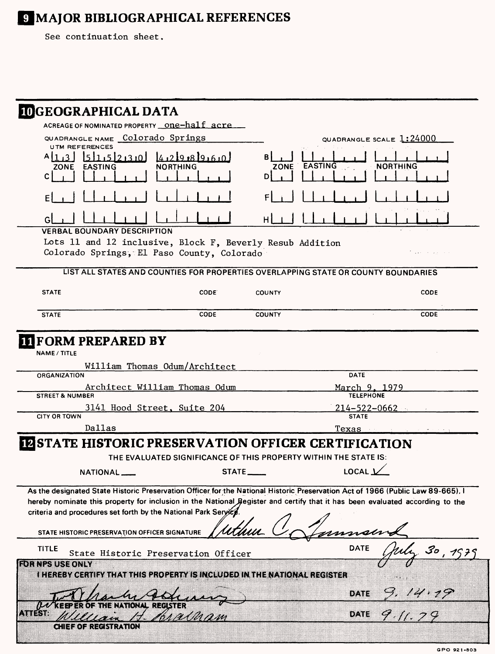# **IMAJOR BIBLIOGRAPHICAL REFERENCES**

See continuation sheet.

| <b>IDGEOGRAPHICAL DATA</b>                                |                                                                                                                                |                                                                                                                                                                                                                                      |                                                                                                                                                                                                                                                                 |
|-----------------------------------------------------------|--------------------------------------------------------------------------------------------------------------------------------|--------------------------------------------------------------------------------------------------------------------------------------------------------------------------------------------------------------------------------------|-----------------------------------------------------------------------------------------------------------------------------------------------------------------------------------------------------------------------------------------------------------------|
|                                                           | ACREAGE OF NOMINATED PROPERTY __ One-half_acre                                                                                 |                                                                                                                                                                                                                                      |                                                                                                                                                                                                                                                                 |
| QUADRANGLE NAME Colorado Springs<br><b>UTM REFERENCES</b> |                                                                                                                                |                                                                                                                                                                                                                                      | QUADRANGLE SCALE 1:24000                                                                                                                                                                                                                                        |
| $A113$ $B11511521310$<br>ZONE EASTING<br>C.               | 4219.819.60<br>NORTHING                                                                                                        | ZONE EASTING<br>D                                                                                                                                                                                                                    | NORTHING                                                                                                                                                                                                                                                        |
|                                                           |                                                                                                                                |                                                                                                                                                                                                                                      |                                                                                                                                                                                                                                                                 |
|                                                           |                                                                                                                                | н                                                                                                                                                                                                                                    |                                                                                                                                                                                                                                                                 |
| <b>VERBAL BOUNDARY DESCRIPTION</b>                        | Lots 11 and 12 inclusive, Block F, Beverly Resub Addition<br>Colorado Springs, El Paso County, Colorado                        |                                                                                                                                                                                                                                      | grade the state of the state                                                                                                                                                                                                                                    |
|                                                           | LIST ALL STATES AND COUNTIES FOR PROPERTIES OVERLAPPING STATE OR COUNTY BOUNDARIES                                             |                                                                                                                                                                                                                                      |                                                                                                                                                                                                                                                                 |
| <b>STATE</b>                                              | CODE.                                                                                                                          | <b>COUNTY</b>                                                                                                                                                                                                                        | <b>CODE</b>                                                                                                                                                                                                                                                     |
| <b>STATE</b>                                              | <b>CODE</b>                                                                                                                    | <b>COUNTY</b>                                                                                                                                                                                                                        | <b>CODE</b>                                                                                                                                                                                                                                                     |
| <b>ORGANIZATION</b><br><b>STREET &amp; NUMBER</b>         | William Thomas Odum/Architect<br>Architect William Thomas Odum                                                                 |                                                                                                                                                                                                                                      | <b>DATE</b><br><u>March 9, 1979</u><br><b>TELEPHONE</b>                                                                                                                                                                                                         |
|                                                           |                                                                                                                                |                                                                                                                                                                                                                                      |                                                                                                                                                                                                                                                                 |
|                                                           | 3141 Hood Street, Suite 204                                                                                                    |                                                                                                                                                                                                                                      | <u>214–522–0662 —</u>                                                                                                                                                                                                                                           |
| <b>CITY OR TOWN</b>                                       |                                                                                                                                |                                                                                                                                                                                                                                      | <b>STATE</b>                                                                                                                                                                                                                                                    |
| Dallas                                                    |                                                                                                                                |                                                                                                                                                                                                                                      | <u>Texas</u>                                                                                                                                                                                                                                                    |
|                                                           | <b>INSTATE HISTORIC PRESERVATION OFFICER CERTIFICATION</b><br>THE EVALUATED SIGNIFICANCE OF THIS PROPERTY WITHIN THE STATE IS: |                                                                                                                                                                                                                                      |                                                                                                                                                                                                                                                                 |
| <b>NATIONAL</b>                                           | STATE_                                                                                                                         | <u>in the community of the community of the community of the community of the community of the community of the community of the community of the community of the community of the community of the community of the community </u> | LOCAL V                                                                                                                                                                                                                                                         |
|                                                           | criteria and procedures set forth by the National Park Seryicy.                                                                |                                                                                                                                                                                                                                      | As the designated State Historic Preservation Officer for the National Historic Preservation Act of 1966 (Public Law 89-665). I<br>hereby nominate this property for inclusion in the National Begister and certify that it has been evaluated according to the |
| STATE HISTORIC PRESERVATION OFFICER SIGNATURE             |                                                                                                                                |                                                                                                                                                                                                                                      |                                                                                                                                                                                                                                                                 |
| <b>TITLE</b>                                              | State Historic Preservation Officer                                                                                            |                                                                                                                                                                                                                                      | <b>DATE</b><br>$\mathcal{S}o$                                                                                                                                                                                                                                   |
| <b>EDENES USE ONLY</b>                                    | <b>I HEREBY CERTIFY THAT THIS PROPERTY IS INCLUDED IN THE NATIONAL REGISTER</b>                                                |                                                                                                                                                                                                                                      |                                                                                                                                                                                                                                                                 |
|                                                           |                                                                                                                                |                                                                                                                                                                                                                                      | one                                                                                                                                                                                                                                                             |
| Antan                                                     |                                                                                                                                |                                                                                                                                                                                                                                      | 911.79<br>DATE                                                                                                                                                                                                                                                  |
| o Hazo znace struktu                                      |                                                                                                                                |                                                                                                                                                                                                                                      |                                                                                                                                                                                                                                                                 |

**GPO 921-803**